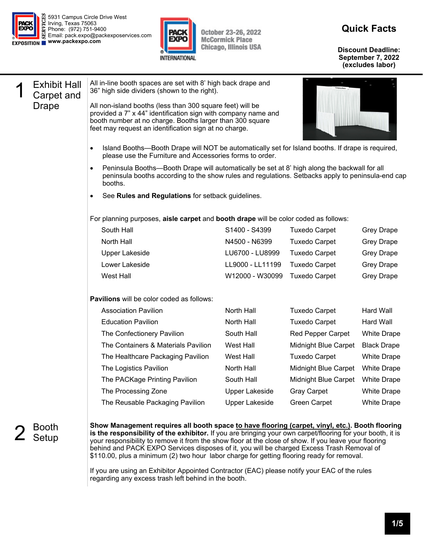



October 23-26, 2022<br>McCormick Place **Chicago, Illinois USA** 

## **Quick Facts**

**Discount Deadline: September 7, 2022 (excludes labor)** 

| <b>Exhibit Hall</b><br>Carpet and<br>Drape | All in-line booth spaces are set with 8' high back drape and<br>36" high side dividers (shown to the right).<br>All non-island booths (less than 300 square feet) will be<br>provided a 7" x 44" identification sign with company name and<br>booth number at no charge. Booths larger than 300 square<br>feet may request an identification sign at no charge.<br>Island Booths—Booth Drape will NOT be automatically set for Island booths. If drape is required,<br>please use the Furniture and Accessories forms to order.<br>Peninsula Booths—Booth Drape will automatically be set at 8' high along the backwall for all<br>peninsula booths according to the show rules and regulations. Setbacks apply to peninsula-end cap<br>booths.<br>See Rules and Regulations for setback guidelines. |                                     |                                              |                                        |  |  |
|--------------------------------------------|------------------------------------------------------------------------------------------------------------------------------------------------------------------------------------------------------------------------------------------------------------------------------------------------------------------------------------------------------------------------------------------------------------------------------------------------------------------------------------------------------------------------------------------------------------------------------------------------------------------------------------------------------------------------------------------------------------------------------------------------------------------------------------------------------|-------------------------------------|----------------------------------------------|----------------------------------------|--|--|
|                                            |                                                                                                                                                                                                                                                                                                                                                                                                                                                                                                                                                                                                                                                                                                                                                                                                      |                                     |                                              |                                        |  |  |
|                                            | For planning purposes, aisle carpet and booth drape will be color coded as follows:                                                                                                                                                                                                                                                                                                                                                                                                                                                                                                                                                                                                                                                                                                                  |                                     |                                              |                                        |  |  |
|                                            | South Hall                                                                                                                                                                                                                                                                                                                                                                                                                                                                                                                                                                                                                                                                                                                                                                                           | S1400 - S4399                       | <b>Tuxedo Carpet</b>                         | <b>Grey Drape</b>                      |  |  |
|                                            | North Hall                                                                                                                                                                                                                                                                                                                                                                                                                                                                                                                                                                                                                                                                                                                                                                                           | N4500 - N6399                       | <b>Tuxedo Carpet</b>                         | <b>Grey Drape</b>                      |  |  |
|                                            | <b>Upper Lakeside</b><br>Lower Lakeside                                                                                                                                                                                                                                                                                                                                                                                                                                                                                                                                                                                                                                                                                                                                                              | LU6700 - LU8999<br>LL9000 - LL11199 | <b>Tuxedo Carpet</b><br><b>Tuxedo Carpet</b> | <b>Grey Drape</b><br><b>Grey Drape</b> |  |  |
|                                            | <b>West Hall</b>                                                                                                                                                                                                                                                                                                                                                                                                                                                                                                                                                                                                                                                                                                                                                                                     | W12000 - W30099                     | <b>Tuxedo Carpet</b>                         | <b>Grey Drape</b>                      |  |  |
|                                            |                                                                                                                                                                                                                                                                                                                                                                                                                                                                                                                                                                                                                                                                                                                                                                                                      |                                     |                                              |                                        |  |  |
|                                            | <b>Pavilions</b> will be color coded as follows:                                                                                                                                                                                                                                                                                                                                                                                                                                                                                                                                                                                                                                                                                                                                                     |                                     |                                              |                                        |  |  |
|                                            | <b>Association Pavilion</b>                                                                                                                                                                                                                                                                                                                                                                                                                                                                                                                                                                                                                                                                                                                                                                          | North Hall                          | <b>Tuxedo Carpet</b>                         | Hard Wall                              |  |  |
|                                            | <b>Education Pavilion</b>                                                                                                                                                                                                                                                                                                                                                                                                                                                                                                                                                                                                                                                                                                                                                                            | North Hall                          | <b>Tuxedo Carpet</b>                         | Hard Wall                              |  |  |
|                                            | The Confectionery Pavilion                                                                                                                                                                                                                                                                                                                                                                                                                                                                                                                                                                                                                                                                                                                                                                           | South Hall                          | Red Pepper Carpet                            | <b>White Drape</b>                     |  |  |
|                                            | The Containers & Materials Pavilion                                                                                                                                                                                                                                                                                                                                                                                                                                                                                                                                                                                                                                                                                                                                                                  | West Hall                           | <b>Midnight Blue Carpet</b>                  | <b>Black Drape</b>                     |  |  |
|                                            | The Healthcare Packaging Pavilion                                                                                                                                                                                                                                                                                                                                                                                                                                                                                                                                                                                                                                                                                                                                                                    | West Hall                           | <b>Tuxedo Carpet</b>                         | <b>White Drape</b>                     |  |  |
|                                            | The Logistics Pavilion                                                                                                                                                                                                                                                                                                                                                                                                                                                                                                                                                                                                                                                                                                                                                                               | North Hall                          | Midnight Blue Carpet                         | <b>White Drape</b>                     |  |  |
|                                            | The PACKage Printing Pavilion                                                                                                                                                                                                                                                                                                                                                                                                                                                                                                                                                                                                                                                                                                                                                                        | South Hall                          | Midnight Blue Carpet                         | <b>White Drape</b>                     |  |  |
|                                            | The Processing Zone                                                                                                                                                                                                                                                                                                                                                                                                                                                                                                                                                                                                                                                                                                                                                                                  | <b>Upper Lakeside</b>               | <b>Gray Carpet</b>                           | <b>White Drape</b>                     |  |  |
|                                            | The Reusable Packaging Pavilion                                                                                                                                                                                                                                                                                                                                                                                                                                                                                                                                                                                                                                                                                                                                                                      | <b>Upper Lakeside</b>               | Green Carpet                                 | <b>White Drape</b>                     |  |  |
| Booth<br>Setup                             | Show Management requires all booth space to have flooring (carpet, vinyl, etc.). Booth flooring<br>is the responsibility of the exhibitor. If you are bringing your own carpet/flooring for your booth, it is<br>your responsibility to remove it from the show floor at the close of show. If you leave your flooring<br>behind and PACK EXPO Services disposes of it, you will be charged Excess Trash Removal of<br>\$110.00, plus a minimum (2) two hour labor charge for getting flooring ready for removal.<br>If you are using an Exhibitor Appointed Contractor (EAC) please notify your EAC of the rules<br>regarding any excess trash left behind in the booth.                                                                                                                            |                                     |                                              |                                        |  |  |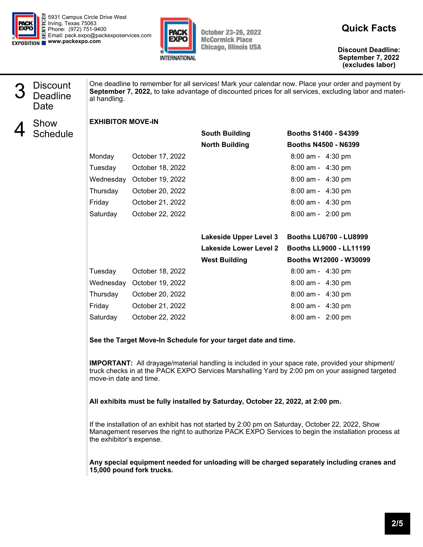



October 23-26, 2022<br>McCormick Place **Chicago, Illinois USA** 

**Quick Facts** 

**Discount Deadline: September 7, 2022 (excludes labor)** 

| <b>Discount</b><br><b>Deadline</b><br>Date | al handling.                                                                                                                                                                                                                                                                                                                                                                                                                                     |                            |                               | One deadline to remember for all services! Mark your calendar now. Place your order and payment by<br>September 7, 2022, to take advantage of discounted prices for all services, excluding labor and materi- |
|--------------------------------------------|--------------------------------------------------------------------------------------------------------------------------------------------------------------------------------------------------------------------------------------------------------------------------------------------------------------------------------------------------------------------------------------------------------------------------------------------------|----------------------------|-------------------------------|---------------------------------------------------------------------------------------------------------------------------------------------------------------------------------------------------------------|
| Show                                       | <b>EXHIBITOR MOVE-IN</b>                                                                                                                                                                                                                                                                                                                                                                                                                         |                            |                               |                                                                                                                                                                                                               |
| Schedule                                   |                                                                                                                                                                                                                                                                                                                                                                                                                                                  |                            | <b>South Building</b>         | <b>Booths S1400 - S4399</b>                                                                                                                                                                                   |
|                                            |                                                                                                                                                                                                                                                                                                                                                                                                                                                  |                            | <b>North Building</b>         | <b>Booths N4500 - N6399</b>                                                                                                                                                                                   |
|                                            | Monday                                                                                                                                                                                                                                                                                                                                                                                                                                           | October 17, 2022           |                               | 8:00 am - 4:30 pm                                                                                                                                                                                             |
|                                            | Tuesday                                                                                                                                                                                                                                                                                                                                                                                                                                          | October 18, 2022           |                               | 8:00 am - 4:30 pm                                                                                                                                                                                             |
|                                            |                                                                                                                                                                                                                                                                                                                                                                                                                                                  | Wednesday October 19, 2022 |                               | 8:00 am - 4:30 pm                                                                                                                                                                                             |
|                                            | Thursday                                                                                                                                                                                                                                                                                                                                                                                                                                         | October 20, 2022           |                               | 8:00 am - 4:30 pm                                                                                                                                                                                             |
|                                            | Friday                                                                                                                                                                                                                                                                                                                                                                                                                                           | October 21, 2022           |                               | 8:00 am - 4:30 pm                                                                                                                                                                                             |
|                                            | Saturday                                                                                                                                                                                                                                                                                                                                                                                                                                         | October 22, 2022           |                               | 8:00 am - 2:00 pm                                                                                                                                                                                             |
|                                            |                                                                                                                                                                                                                                                                                                                                                                                                                                                  |                            | <b>Lakeside Upper Level 3</b> | <b>Booths LU6700 - LU8999</b>                                                                                                                                                                                 |
|                                            |                                                                                                                                                                                                                                                                                                                                                                                                                                                  |                            | <b>Lakeside Lower Level 2</b> | <b>Booths LL9000 - LL11199</b>                                                                                                                                                                                |
|                                            |                                                                                                                                                                                                                                                                                                                                                                                                                                                  |                            | <b>West Building</b>          | Booths W12000 - W30099                                                                                                                                                                                        |
|                                            | Tuesday                                                                                                                                                                                                                                                                                                                                                                                                                                          | October 18, 2022           |                               | 8:00 am - 4:30 pm                                                                                                                                                                                             |
|                                            |                                                                                                                                                                                                                                                                                                                                                                                                                                                  | Wednesday October 19, 2022 |                               | 8:00 am - 4:30 pm                                                                                                                                                                                             |
|                                            | Thursday                                                                                                                                                                                                                                                                                                                                                                                                                                         | October 20, 2022           |                               | 8:00 am - 4:30 pm                                                                                                                                                                                             |
|                                            | Friday                                                                                                                                                                                                                                                                                                                                                                                                                                           | October 21, 2022           |                               | 8:00 am - 4:30 pm                                                                                                                                                                                             |
|                                            | Saturday                                                                                                                                                                                                                                                                                                                                                                                                                                         | October 22, 2022           |                               | 8:00 am - 2:00 pm                                                                                                                                                                                             |
|                                            | See the Target Move-In Schedule for your target date and time.                                                                                                                                                                                                                                                                                                                                                                                   |                            |                               |                                                                                                                                                                                                               |
|                                            | <b>IMPORTANT:</b> All drayage/material handling is included in your space rate, provided your shipment/<br>truck checks in at the PACK EXPO Services Marshalling Yard by 2:00 pm on your assigned targeted<br>move-in date and time.                                                                                                                                                                                                             |                            |                               |                                                                                                                                                                                                               |
|                                            | All exhibits must be fully installed by Saturday, October 22, 2022, at 2:00 pm.<br>If the installation of an exhibit has not started by 2:00 pm on Saturday, October 22, 2022, Show<br>Management reserves the right to authorize PACK EXPO Services to begin the installation process at<br>the exhibitor's expense.<br>Any special equipment needed for unloading will be charged separately including cranes and<br>15,000 pound fork trucks. |                            |                               |                                                                                                                                                                                                               |
|                                            |                                                                                                                                                                                                                                                                                                                                                                                                                                                  |                            |                               |                                                                                                                                                                                                               |
|                                            |                                                                                                                                                                                                                                                                                                                                                                                                                                                  |                            |                               |                                                                                                                                                                                                               |
|                                            |                                                                                                                                                                                                                                                                                                                                                                                                                                                  |                            |                               |                                                                                                                                                                                                               |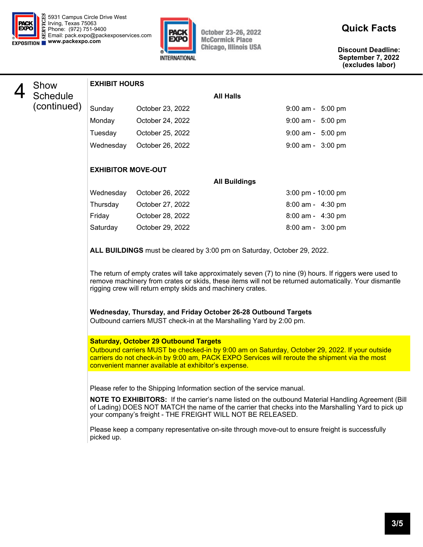



October 23-26, 2022 **McCormick Place Chicago, Illinois USA** 

**Discount Deadline: September 7, 2022 (excludes labor)** 



## (continued) **EXHIBIT HOURS All Halls**  Sunday **October 23, 2022** 9:00 am - 5:00 pm Monday October 24, 2022 9:00 am - 5:00 pm Tuesday October 25, 2022 9:00 am - 5:00 pm Wednesday October 26, 2022 9:00 am - 3:00 pm

#### **EXHIBITOR MOVE-OUT**

|           |                  | <b>All Buildings</b> |                                      |
|-----------|------------------|----------------------|--------------------------------------|
| Wednesday | October 26, 2022 |                      | $3:00 \text{ pm} - 10:00 \text{ pm}$ |
| Thursday  | October 27, 2022 |                      | $8:00$ am - $4:30$ pm                |
| Fridav    | October 28, 2022 |                      | $8:00$ am - $4:30$ pm                |
| Saturday  | October 29, 2022 |                      | $8:00$ am - $3:00$ pm                |
|           |                  |                      |                                      |

**ALL BUILDINGS** must be cleared by 3:00 pm on Saturday, October 29, 2022.

 The return of empty crates will take approximately seven (7) to nine (9) hours. If riggers were used to remove machinery from crates or skids, these items will not be returned automatically. Your dismantle rigging crew will return empty skids and machinery crates.

### **Wednesday, Thursday, and Friday October 26-28 Outbound Targets**

Outbound carriers MUST check-in at the Marshalling Yard by 2:00 pm.

#### **Saturday, October 29 Outbound Targets**

Outbound carriers MUST be checked-in by 9:00 am on Saturday, October 29, 2022. If your outside carriers do not check-in by 9:00 am, PACK EXPO Services will reroute the shipment via the most convenient manner available at exhibitor's expense.

Please refer to the Shipping Information section of the service manual.

 **NOTE TO EXHIBITORS:** If the carrier's name listed on the outbound Material Handling Agreement (Bill of Lading) DOES NOT MATCH the name of the carrier that checks into the Marshalling Yard to pick up your company's freight - THE FREIGHT WILL NOT BE RELEASED.

Please keep a company representative on-site through move-out to ensure freight is successfully picked up.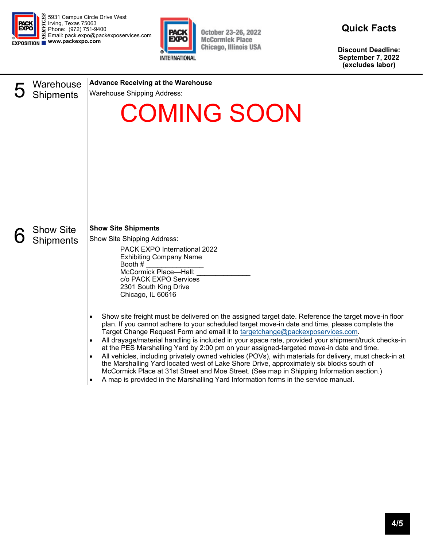

5931 Campus Circle Drive West Irving, Texas 75063 Phone: (972) 751-9400 Email: pack.expo@packexposervices.com **EXPOSITION WWW.packexpo.com** 



October 23-26, 2022 **McCormick Place Chicago, Illinois USA** 

**Quick Facts** 

**Discount Deadline: September 7, 2022 (excludes labor)** 



**Advance Receiving at the Warehouse** 

Warehouse Shipping Address:

# COMING SOON



**Show Site Shipments** 

Show Site Shipping Address:

PACK EXPO International 2022 Exhibiting Company Name Booth # \_\_\_\_\_\_\_\_\_\_\_\_\_\_\_ McCormick Place-Hall: c/o PACK EXPO Services 2301 South King Drive Chicago, IL 60616

- Show site freight must be delivered on the assigned target date. Reference the target move-in floor plan. If you cannot adhere to your scheduled target move-in date and time, please complete the Target Change Request Form and email it to targetchange@packexposervices.com.
- All drayage/material handling is included in your space rate, provided your shipment/truck checks-in at the PES Marshalling Yard by 2:00 pm on your assigned-targeted move-in date and time.
- All vehicles, including privately owned vehicles (POVs), with materials for delivery, must check-in at the Marshalling Yard located west of Lake Shore Drive, approximately six blocks south of McCormick Place at 31st Street and Moe Street. (See map in Shipping Information section.)
- A map is provided in the Marshalling Yard Information forms in the service manual.